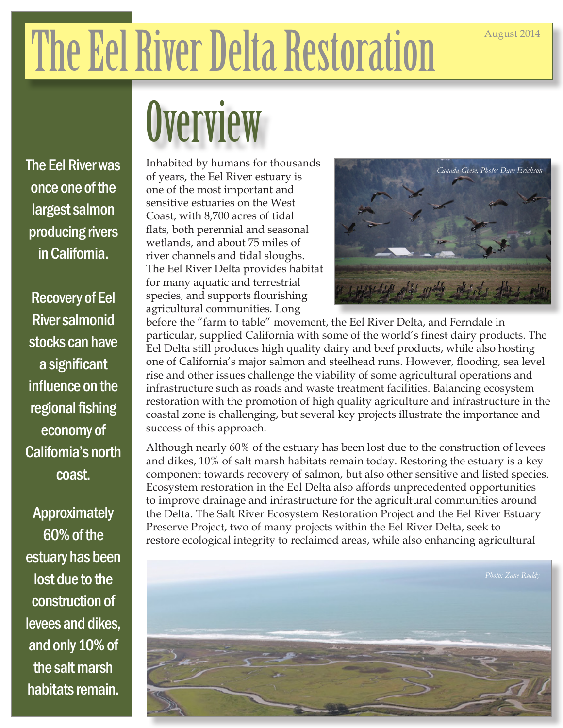## The Eel River Delta Restoration

## **Overview**

The Eel River was once one of the largest salmon producing rivers in California.

Recovery of Eel River salmonid stocks can have a significant influence on the regional fishing economy of California's north coast.

Approximately 60% of the estuary has been lost due to the construction of levees and dikes, and only 10% of the salt marsh habitats remain.

Inhabited by humans for thousands of years, the Eel River estuary is one of the most important and sensitive estuaries on the West Coast, with 8,700 acres of tidal flats, both perennial and seasonal wetlands, and about 75 miles of river channels and tidal sloughs. The Eel River Delta provides habitat for many aquatic and terrestrial species, and supports flourishing agricultural communities. Long



before the "farm to table" movement, the Eel River Delta, and Ferndale in particular, supplied California with some of the world's finest dairy products. The Eel Delta still produces high quality dairy and beef products, while also hosting one of California's major salmon and steelhead runs. However, flooding, sea level rise and other issues challenge the viability of some agricultural operations and infrastructure such as roads and waste treatment facilities. Balancing ecosystem restoration with the promotion of high quality agriculture and infrastructure in the coastal zone is challenging, but several key projects illustrate the importance and success of this approach.

Although nearly 60% of the estuary has been lost due to the construction of levees and dikes, 10% of salt marsh habitats remain today. Restoring the estuary is a key component towards recovery of salmon, but also other sensitive and listed species. Ecosystem restoration in the Eel Delta also affords unprecedented opportunities to improve drainage and infrastructure for the agricultural communities around the Delta. The Salt River Ecosystem Restoration Project and the Eel River Estuary Preserve Project, two of many projects within the Eel River Delta, seek to restore ecological integrity to reclaimed areas, while also enhancing agricultural